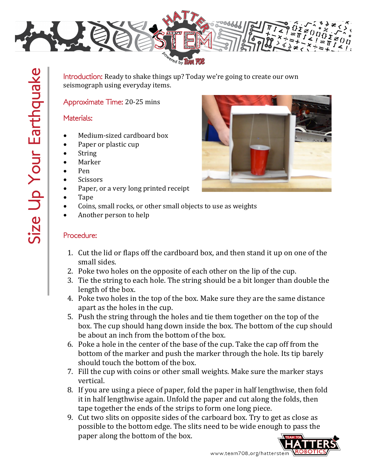

Introduction: Ready to shake things up? Today we're going to create our own seismograph using everyday items.

Approximate Time: 20-25 mins

## Materials:

- Medium-sized cardboard box
- Paper or plastic cup
- **String**
- **Marker**
- Pen

Size Up Your Earthquake

Size Up Your Earthquake

- Scissors
- Paper, or a very long printed receipt
- Tape
- Coins, small rocks, or other small objects to use as weights
- Another person to help

## Procedure:

- 1. Cut the lid or flaps off the cardboard box, and then stand it up on one of the small sides.
- 2. Poke two holes on the opposite of each other on the lip of the cup.
- 3. Tie the string to each hole. The string should be a bit longer than double the length of the box.
- 4. Poke two holes in the top of the box. Make sure they are the same distance apart as the holes in the cup.
- 5. Push the string through the holes and tie them together on the top of the box. The cup should hang down inside the box. The bottom of the cup should be about an inch from the bottom of the box.
- 6. Poke a hole in the center of the base of the cup. Take the cap off from the bottom of the marker and push the marker through the hole. Its tip barely should touch the bottom of the box.
- 7. Fill the cup with coins or other small weights. Make sure the marker stays vertical.
- 8. If you are using a piece of paper, fold the paper in half lengthwise, then fold it in half lengthwise again. Unfold the paper and cut along the folds, then tape together the ends of the strips to form one long piece.
- 9. Cut two slits on opposite sides of the carboard box. Try to get as close as possible to the bottom edge. The slits need to be wide enough to pass the paper along the bottom of the box.



www.team708.org/hatterstem